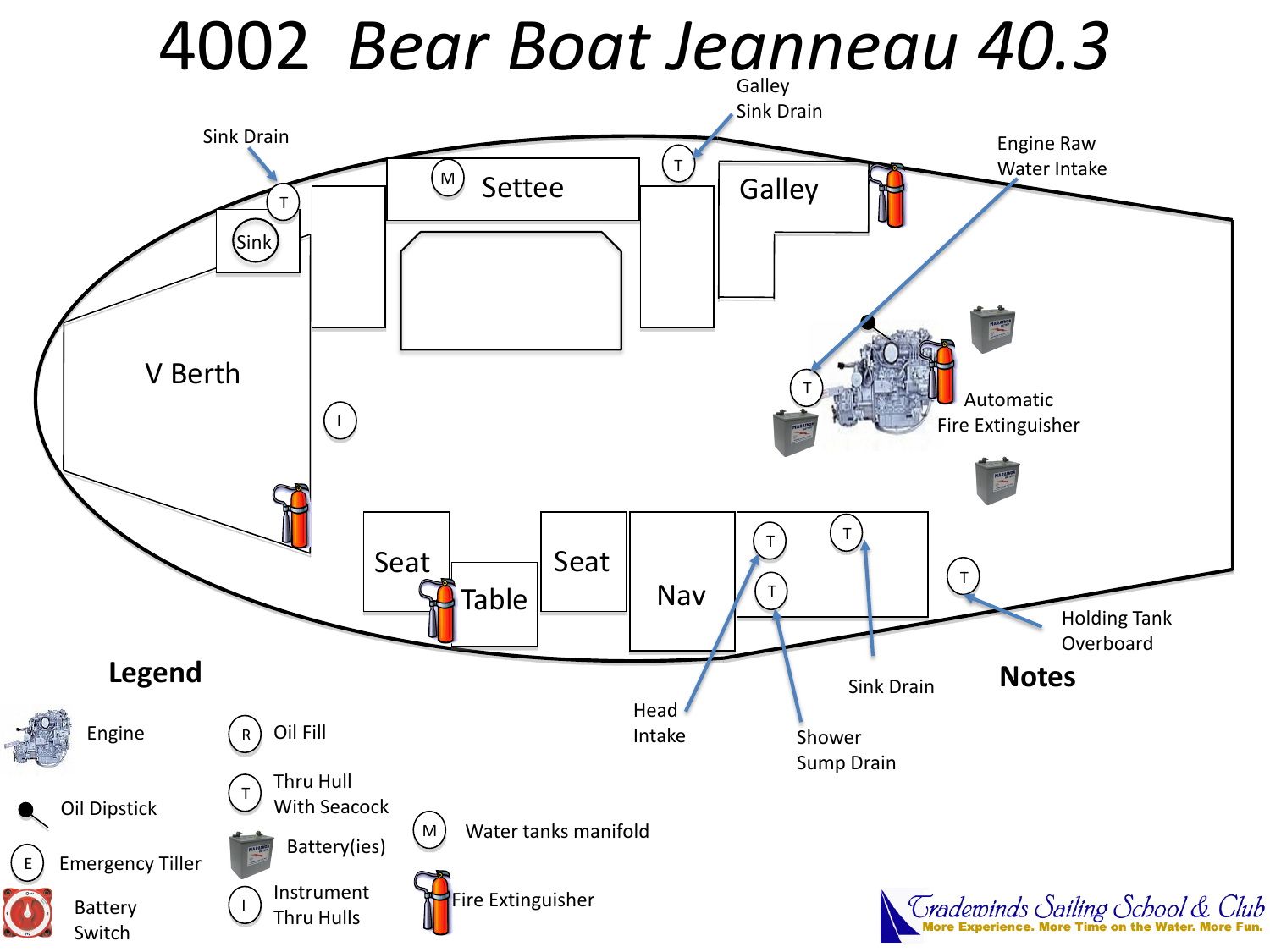# 4002 *Bear Boat Jeanneau 40.3*

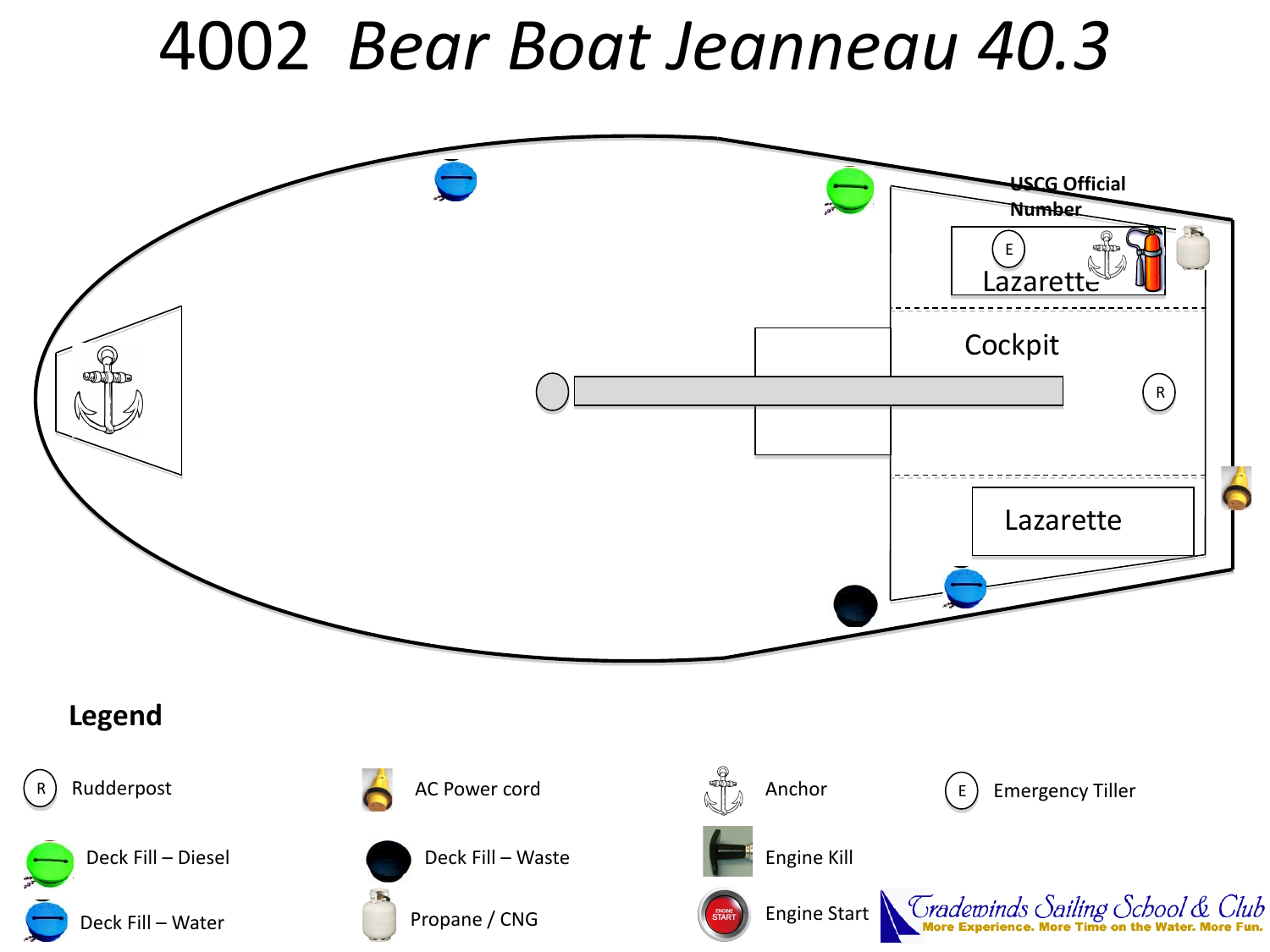# 4002 *Bear Boat Jeanneau 40.3*

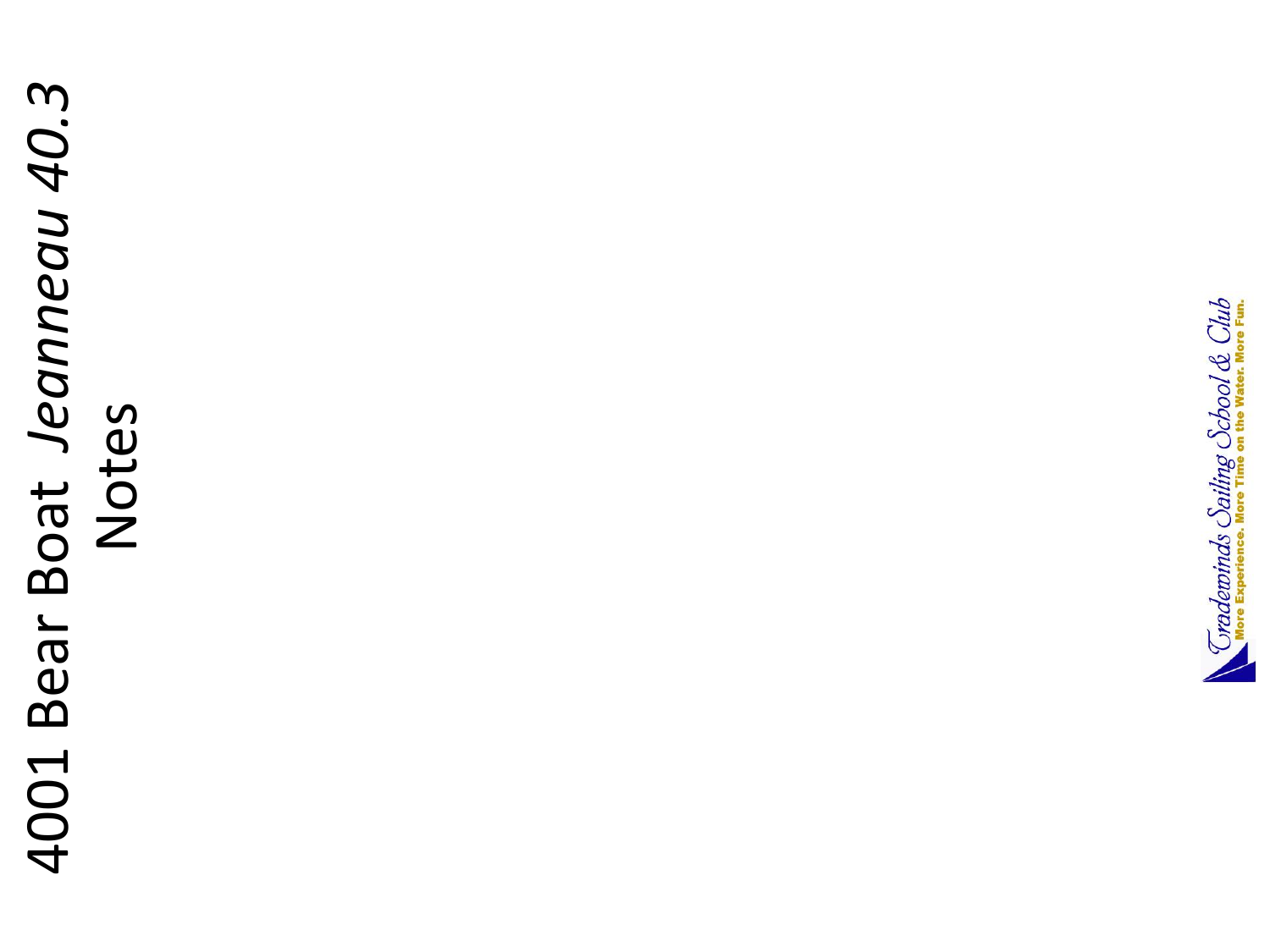# 4001 Bear Boat Jeanneau 40.3 4001 Bear Boat *Jeanneau 40.3* Notes

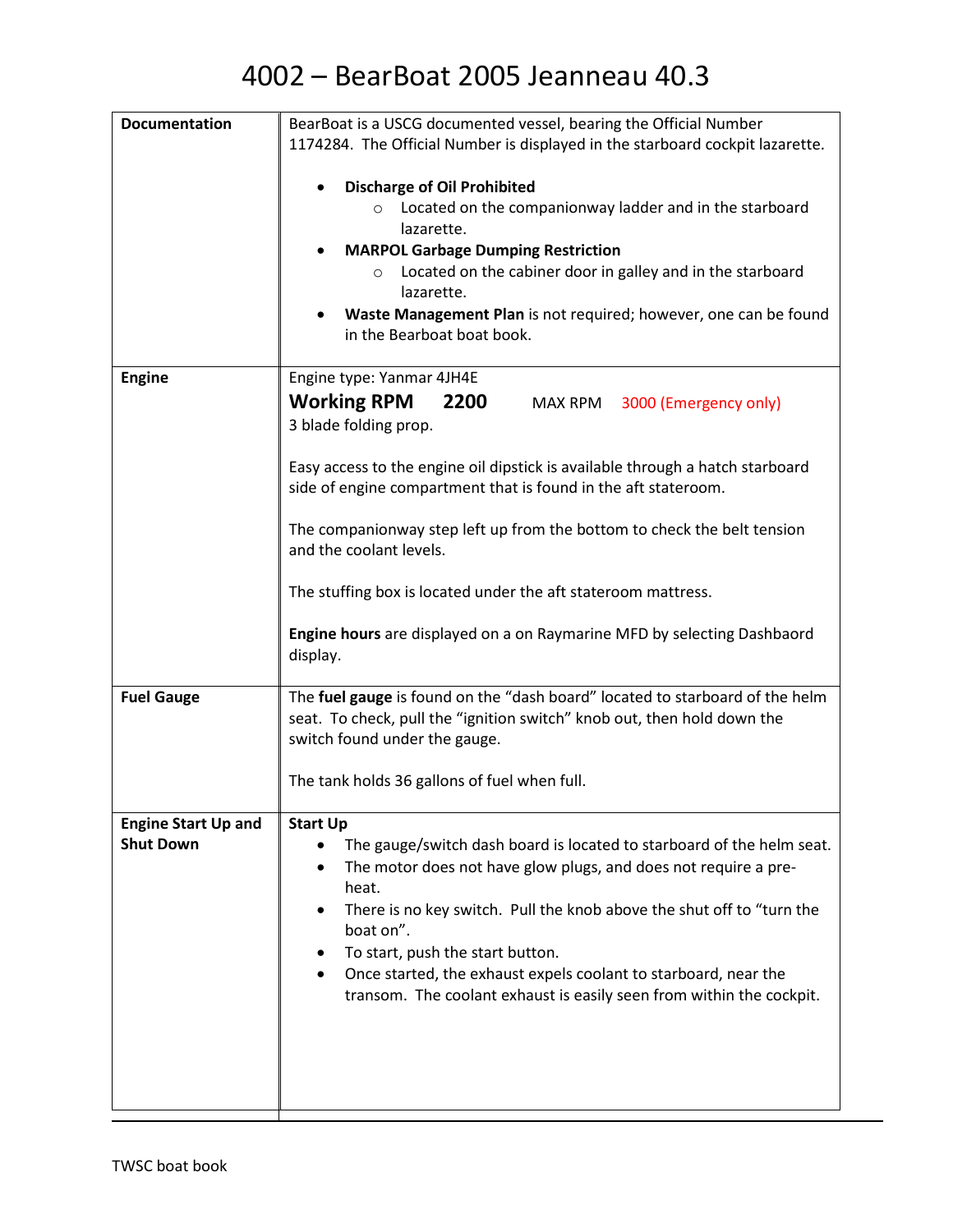| <b>Documentation</b>                           | BearBoat is a USCG documented vessel, bearing the Official Number                                                                                       |
|------------------------------------------------|---------------------------------------------------------------------------------------------------------------------------------------------------------|
|                                                | 1174284. The Official Number is displayed in the starboard cockpit lazarette.                                                                           |
|                                                |                                                                                                                                                         |
|                                                | <b>Discharge of Oil Prohibited</b><br>Located on the companionway ladder and in the starboard<br>$\circ$                                                |
|                                                | lazarette.                                                                                                                                              |
|                                                | <b>MARPOL Garbage Dumping Restriction</b><br>٠                                                                                                          |
|                                                | Located on the cabiner door in galley and in the starboard<br>$\circ$                                                                                   |
|                                                | lazarette.                                                                                                                                              |
|                                                | Waste Management Plan is not required; however, one can be found<br>in the Bearboat boat book.                                                          |
|                                                |                                                                                                                                                         |
| <b>Engine</b>                                  | Engine type: Yanmar 4JH4E                                                                                                                               |
|                                                | <b>Working RPM</b><br>2200<br>MAX RPM 3000 (Emergency only)                                                                                             |
|                                                | 3 blade folding prop.                                                                                                                                   |
|                                                |                                                                                                                                                         |
|                                                | Easy access to the engine oil dipstick is available through a hatch starboard                                                                           |
|                                                | side of engine compartment that is found in the aft stateroom.                                                                                          |
|                                                | The companionway step left up from the bottom to check the belt tension                                                                                 |
|                                                | and the coolant levels.                                                                                                                                 |
|                                                |                                                                                                                                                         |
|                                                | The stuffing box is located under the aft stateroom mattress.                                                                                           |
|                                                | Engine hours are displayed on a on Raymarine MFD by selecting Dashbaord                                                                                 |
|                                                | display.                                                                                                                                                |
|                                                |                                                                                                                                                         |
| <b>Fuel Gauge</b>                              | The fuel gauge is found on the "dash board" located to starboard of the helm<br>seat. To check, pull the "ignition switch" knob out, then hold down the |
|                                                | switch found under the gauge.                                                                                                                           |
|                                                |                                                                                                                                                         |
|                                                | The tank holds 36 gallons of fuel when full.                                                                                                            |
|                                                |                                                                                                                                                         |
| <b>Engine Start Up and</b><br><b>Shut Down</b> | <b>Start Up</b><br>The gauge/switch dash board is located to starboard of the helm seat.                                                                |
|                                                | The motor does not have glow plugs, and does not require a pre-                                                                                         |
|                                                | heat.                                                                                                                                                   |
|                                                | There is no key switch. Pull the knob above the shut off to "turn the                                                                                   |
|                                                | boat on".                                                                                                                                               |
|                                                | To start, push the start button.                                                                                                                        |
|                                                | Once started, the exhaust expels coolant to starboard, near the<br>transom. The coolant exhaust is easily seen from within the cockpit.                 |
|                                                |                                                                                                                                                         |
|                                                |                                                                                                                                                         |
|                                                |                                                                                                                                                         |
|                                                |                                                                                                                                                         |
|                                                |                                                                                                                                                         |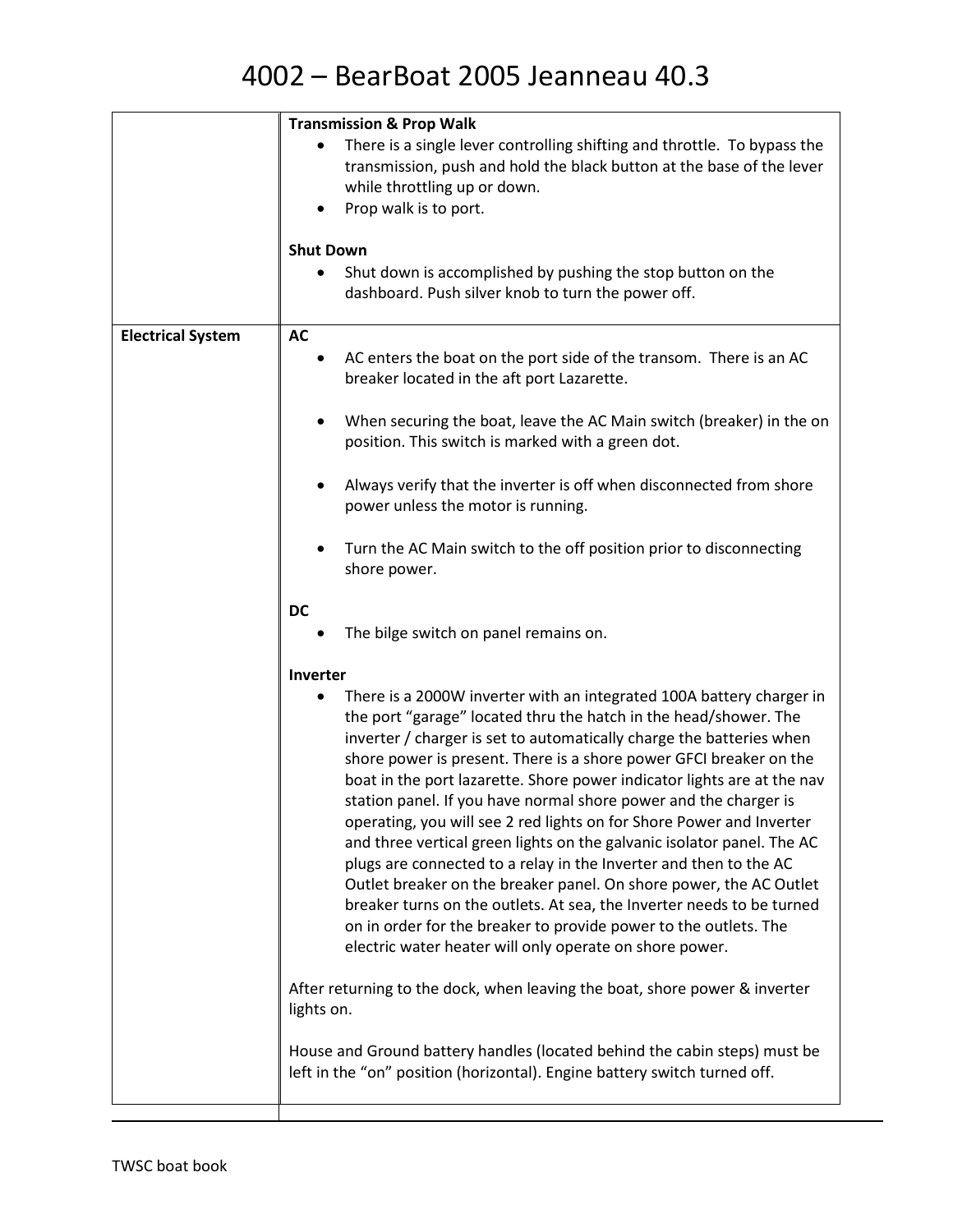|                          | <b>Transmission &amp; Prop Walk</b>                                                                                                                                                                                                                                                                                                                                                                                                                                                                                                                                                                                                                                                                                                                                                                                                                                                                                                        |
|--------------------------|--------------------------------------------------------------------------------------------------------------------------------------------------------------------------------------------------------------------------------------------------------------------------------------------------------------------------------------------------------------------------------------------------------------------------------------------------------------------------------------------------------------------------------------------------------------------------------------------------------------------------------------------------------------------------------------------------------------------------------------------------------------------------------------------------------------------------------------------------------------------------------------------------------------------------------------------|
|                          | There is a single lever controlling shifting and throttle. To bypass the<br>transmission, push and hold the black button at the base of the lever<br>while throttling up or down.<br>Prop walk is to port.                                                                                                                                                                                                                                                                                                                                                                                                                                                                                                                                                                                                                                                                                                                                 |
|                          |                                                                                                                                                                                                                                                                                                                                                                                                                                                                                                                                                                                                                                                                                                                                                                                                                                                                                                                                            |
|                          | <b>Shut Down</b>                                                                                                                                                                                                                                                                                                                                                                                                                                                                                                                                                                                                                                                                                                                                                                                                                                                                                                                           |
|                          | Shut down is accomplished by pushing the stop button on the<br>dashboard. Push silver knob to turn the power off.                                                                                                                                                                                                                                                                                                                                                                                                                                                                                                                                                                                                                                                                                                                                                                                                                          |
| <b>Electrical System</b> | <b>AC</b>                                                                                                                                                                                                                                                                                                                                                                                                                                                                                                                                                                                                                                                                                                                                                                                                                                                                                                                                  |
|                          | AC enters the boat on the port side of the transom. There is an AC<br>breaker located in the aft port Lazarette.                                                                                                                                                                                                                                                                                                                                                                                                                                                                                                                                                                                                                                                                                                                                                                                                                           |
|                          | When securing the boat, leave the AC Main switch (breaker) in the on<br>position. This switch is marked with a green dot.                                                                                                                                                                                                                                                                                                                                                                                                                                                                                                                                                                                                                                                                                                                                                                                                                  |
|                          | Always verify that the inverter is off when disconnected from shore<br>power unless the motor is running.                                                                                                                                                                                                                                                                                                                                                                                                                                                                                                                                                                                                                                                                                                                                                                                                                                  |
|                          | Turn the AC Main switch to the off position prior to disconnecting<br>shore power.                                                                                                                                                                                                                                                                                                                                                                                                                                                                                                                                                                                                                                                                                                                                                                                                                                                         |
|                          | <b>DC</b>                                                                                                                                                                                                                                                                                                                                                                                                                                                                                                                                                                                                                                                                                                                                                                                                                                                                                                                                  |
|                          | The bilge switch on panel remains on.                                                                                                                                                                                                                                                                                                                                                                                                                                                                                                                                                                                                                                                                                                                                                                                                                                                                                                      |
|                          | Inverter                                                                                                                                                                                                                                                                                                                                                                                                                                                                                                                                                                                                                                                                                                                                                                                                                                                                                                                                   |
|                          | There is a 2000W inverter with an integrated 100A battery charger in<br>the port "garage" located thru the hatch in the head/shower. The<br>inverter / charger is set to automatically charge the batteries when<br>shore power is present. There is a shore power GFCI breaker on the<br>boat in the port lazarette. Shore power indicator lights are at the nav<br>station panel. If you have normal shore power and the charger is<br>operating, you will see 2 red lights on for Shore Power and Inverter<br>and three vertical green lights on the galvanic isolator panel. The AC<br>plugs are connected to a relay in the Inverter and then to the AC<br>Outlet breaker on the breaker panel. On shore power, the AC Outlet<br>breaker turns on the outlets. At sea, the Inverter needs to be turned<br>on in order for the breaker to provide power to the outlets. The<br>electric water heater will only operate on shore power. |
|                          | After returning to the dock, when leaving the boat, shore power & inverter<br>lights on.                                                                                                                                                                                                                                                                                                                                                                                                                                                                                                                                                                                                                                                                                                                                                                                                                                                   |
|                          | House and Ground battery handles (located behind the cabin steps) must be<br>left in the "on" position (horizontal). Engine battery switch turned off.                                                                                                                                                                                                                                                                                                                                                                                                                                                                                                                                                                                                                                                                                                                                                                                     |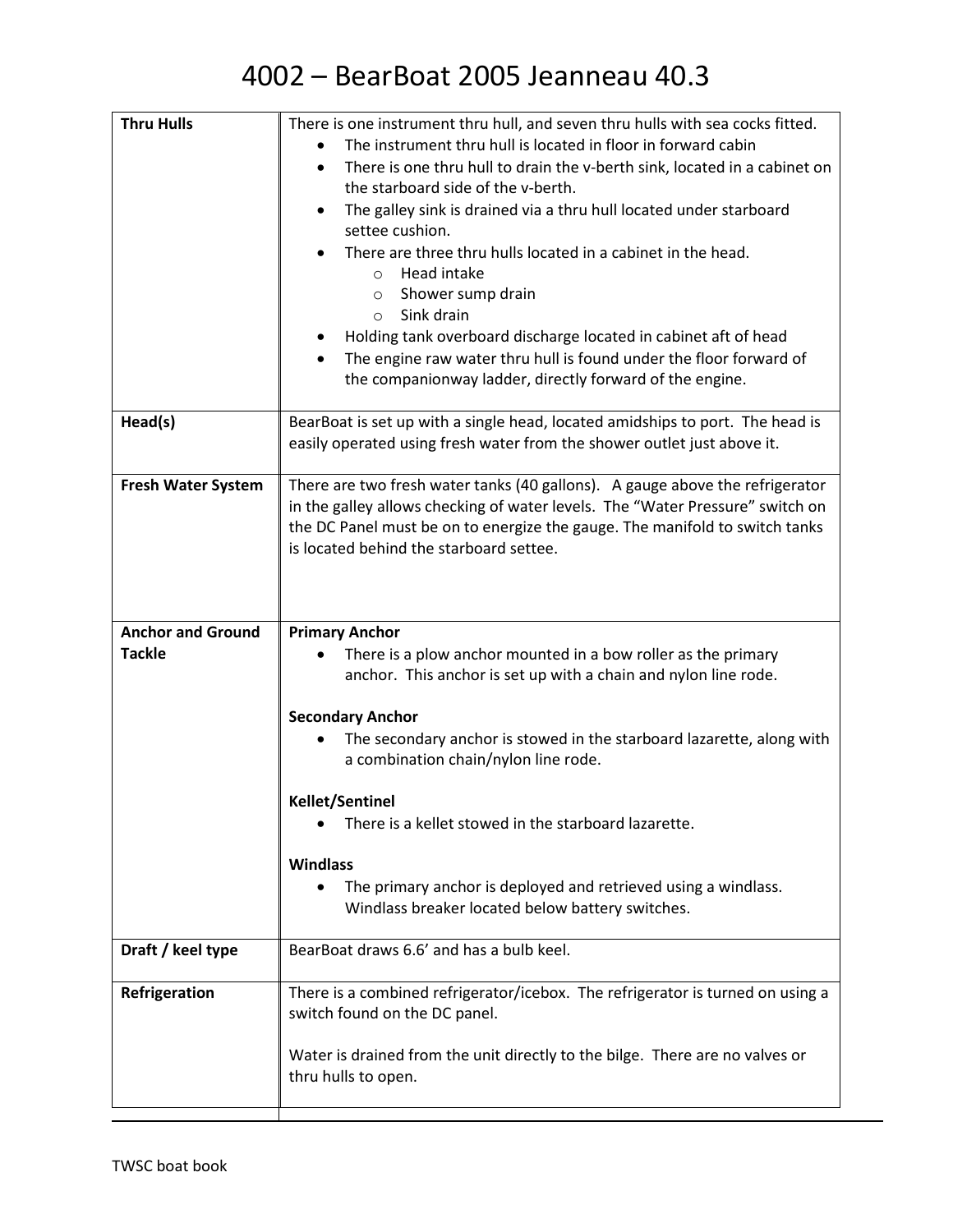| <b>Thru Hulls</b>                         | There is one instrument thru hull, and seven thru hulls with sea cocks fitted.<br>The instrument thru hull is located in floor in forward cabin<br>There is one thru hull to drain the v-berth sink, located in a cabinet on<br>$\bullet$<br>the starboard side of the v-berth.<br>The galley sink is drained via a thru hull located under starboard<br>$\bullet$<br>settee cushion.<br>There are three thru hulls located in a cabinet in the head.<br>Head intake<br>$\circ$<br>Shower sump drain<br>$\circ$<br>Sink drain<br>$\circ$<br>Holding tank overboard discharge located in cabinet aft of head<br>The engine raw water thru hull is found under the floor forward of<br>the companionway ladder, directly forward of the engine. |
|-------------------------------------------|-----------------------------------------------------------------------------------------------------------------------------------------------------------------------------------------------------------------------------------------------------------------------------------------------------------------------------------------------------------------------------------------------------------------------------------------------------------------------------------------------------------------------------------------------------------------------------------------------------------------------------------------------------------------------------------------------------------------------------------------------|
| Head(s)                                   | BearBoat is set up with a single head, located amidships to port. The head is<br>easily operated using fresh water from the shower outlet just above it.                                                                                                                                                                                                                                                                                                                                                                                                                                                                                                                                                                                      |
| <b>Fresh Water System</b>                 | There are two fresh water tanks (40 gallons). A gauge above the refrigerator<br>in the galley allows checking of water levels. The "Water Pressure" switch on<br>the DC Panel must be on to energize the gauge. The manifold to switch tanks<br>is located behind the starboard settee.                                                                                                                                                                                                                                                                                                                                                                                                                                                       |
| <b>Anchor and Ground</b><br><b>Tackle</b> | <b>Primary Anchor</b><br>There is a plow anchor mounted in a bow roller as the primary<br>anchor. This anchor is set up with a chain and nylon line rode.                                                                                                                                                                                                                                                                                                                                                                                                                                                                                                                                                                                     |
|                                           | <b>Secondary Anchor</b><br>The secondary anchor is stowed in the starboard lazarette, along with<br>a combination chain/nylon line rode.                                                                                                                                                                                                                                                                                                                                                                                                                                                                                                                                                                                                      |
|                                           | <b>Kellet/Sentinel</b><br>There is a kellet stowed in the starboard lazarette.                                                                                                                                                                                                                                                                                                                                                                                                                                                                                                                                                                                                                                                                |
|                                           | <b>Windlass</b><br>The primary anchor is deployed and retrieved using a windlass.<br>$\bullet$<br>Windlass breaker located below battery switches.                                                                                                                                                                                                                                                                                                                                                                                                                                                                                                                                                                                            |
| Draft / keel type                         | BearBoat draws 6.6' and has a bulb keel.                                                                                                                                                                                                                                                                                                                                                                                                                                                                                                                                                                                                                                                                                                      |
| Refrigeration                             | There is a combined refrigerator/icebox. The refrigerator is turned on using a<br>switch found on the DC panel.                                                                                                                                                                                                                                                                                                                                                                                                                                                                                                                                                                                                                               |
|                                           | Water is drained from the unit directly to the bilge. There are no valves or<br>thru hulls to open.                                                                                                                                                                                                                                                                                                                                                                                                                                                                                                                                                                                                                                           |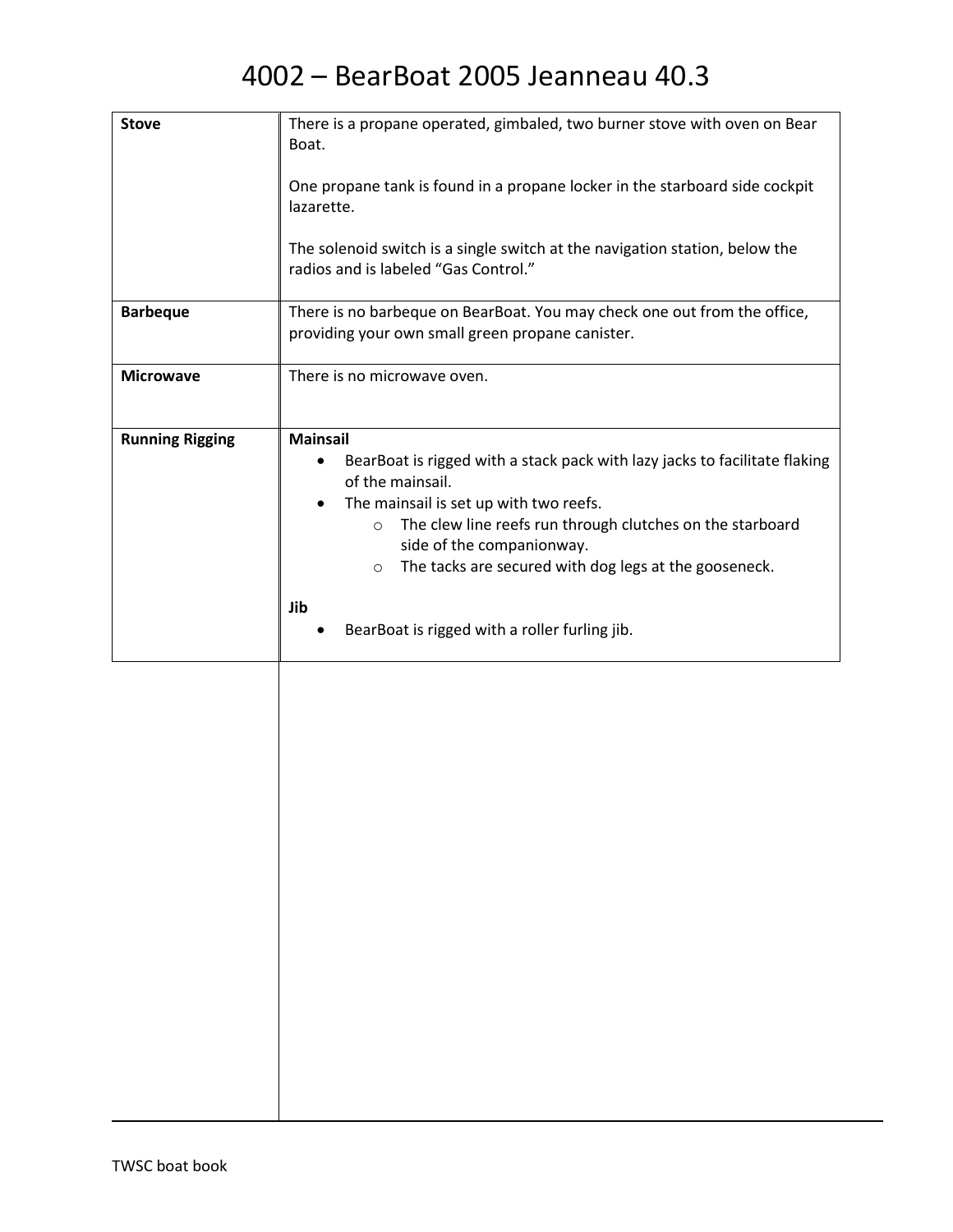| <b>Stove</b>           | There is a propane operated, gimbaled, two burner stove with oven on Bear<br>Boat.                                                                                                                                                                                                                                                                                                                |
|------------------------|---------------------------------------------------------------------------------------------------------------------------------------------------------------------------------------------------------------------------------------------------------------------------------------------------------------------------------------------------------------------------------------------------|
|                        | One propane tank is found in a propane locker in the starboard side cockpit<br>lazarette.                                                                                                                                                                                                                                                                                                         |
|                        | The solenoid switch is a single switch at the navigation station, below the<br>radios and is labeled "Gas Control."                                                                                                                                                                                                                                                                               |
| <b>Barbeque</b>        | There is no barbeque on BearBoat. You may check one out from the office,<br>providing your own small green propane canister.                                                                                                                                                                                                                                                                      |
| <b>Microwave</b>       | There is no microwave oven.                                                                                                                                                                                                                                                                                                                                                                       |
| <b>Running Rigging</b> | <b>Mainsail</b><br>BearBoat is rigged with a stack pack with lazy jacks to facilitate flaking<br>٠<br>of the mainsail.<br>The mainsail is set up with two reefs.<br>The clew line reefs run through clutches on the starboard<br>$\circ$<br>side of the companionway.<br>The tacks are secured with dog legs at the gooseneck.<br>$\circ$<br>Jib<br>BearBoat is rigged with a roller furling jib. |
|                        |                                                                                                                                                                                                                                                                                                                                                                                                   |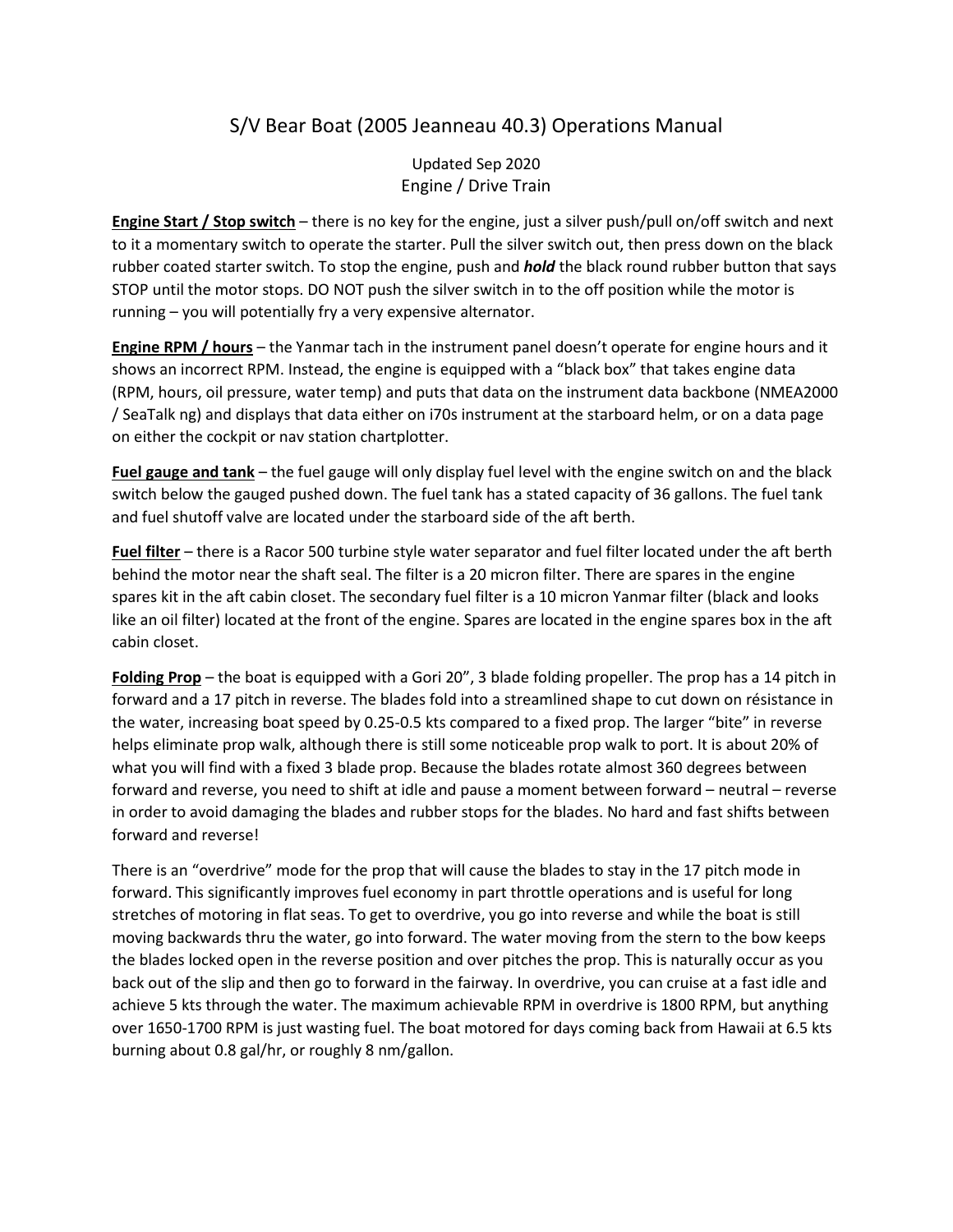#### S/V Bear Boat (2005 Jeanneau 40.3) Operations Manual

Updated Sep 2020 Engine / Drive Train

**Engine Start / Stop switch** – there is no key for the engine, just a silver push/pull on/off switch and next to it a momentary switch to operate the starter. Pull the silver switch out, then press down on the black rubber coated starter switch. To stop the engine, push and *hold* the black round rubber button that says STOP until the motor stops. DO NOT push the silver switch in to the off position while the motor is running – you will potentially fry a very expensive alternator.

**Engine RPM / hours** – the Yanmar tach in the instrument panel doesn't operate for engine hours and it shows an incorrect RPM. Instead, the engine is equipped with a "black box" that takes engine data (RPM, hours, oil pressure, water temp) and puts that data on the instrument data backbone (NMEA2000 / SeaTalk ng) and displays that data either on i70s instrument at the starboard helm, or on a data page on either the cockpit or nav station chartplotter.

**Fuel gauge and tank** – the fuel gauge will only display fuel level with the engine switch on and the black switch below the gauged pushed down. The fuel tank has a stated capacity of 36 gallons. The fuel tank and fuel shutoff valve are located under the starboard side of the aft berth.

**Fuel filter** – there is a Racor 500 turbine style water separator and fuel filter located under the aft berth behind the motor near the shaft seal. The filter is a 20 micron filter. There are spares in the engine spares kit in the aft cabin closet. The secondary fuel filter is a 10 micron Yanmar filter (black and looks like an oil filter) located at the front of the engine. Spares are located in the engine spares box in the aft cabin closet.

**Folding Prop** – the boat is equipped with a Gori 20", 3 blade folding propeller. The prop has a 14 pitch in forward and a 17 pitch in reverse. The blades fold into a streamlined shape to cut down on résistance in the water, increasing boat speed by 0.25-0.5 kts compared to a fixed prop. The larger "bite" in reverse helps eliminate prop walk, although there is still some noticeable prop walk to port. It is about 20% of what you will find with a fixed 3 blade prop. Because the blades rotate almost 360 degrees between forward and reverse, you need to shift at idle and pause a moment between forward – neutral – reverse in order to avoid damaging the blades and rubber stops for the blades. No hard and fast shifts between forward and reverse!

There is an "overdrive" mode for the prop that will cause the blades to stay in the 17 pitch mode in forward. This significantly improves fuel economy in part throttle operations and is useful for long stretches of motoring in flat seas. To get to overdrive, you go into reverse and while the boat is still moving backwards thru the water, go into forward. The water moving from the stern to the bow keeps the blades locked open in the reverse position and over pitches the prop. This is naturally occur as you back out of the slip and then go to forward in the fairway. In overdrive, you can cruise at a fast idle and achieve 5 kts through the water. The maximum achievable RPM in overdrive is 1800 RPM, but anything over 1650-1700 RPM is just wasting fuel. The boat motored for days coming back from Hawaii at 6.5 kts burning about 0.8 gal/hr, or roughly 8 nm/gallon.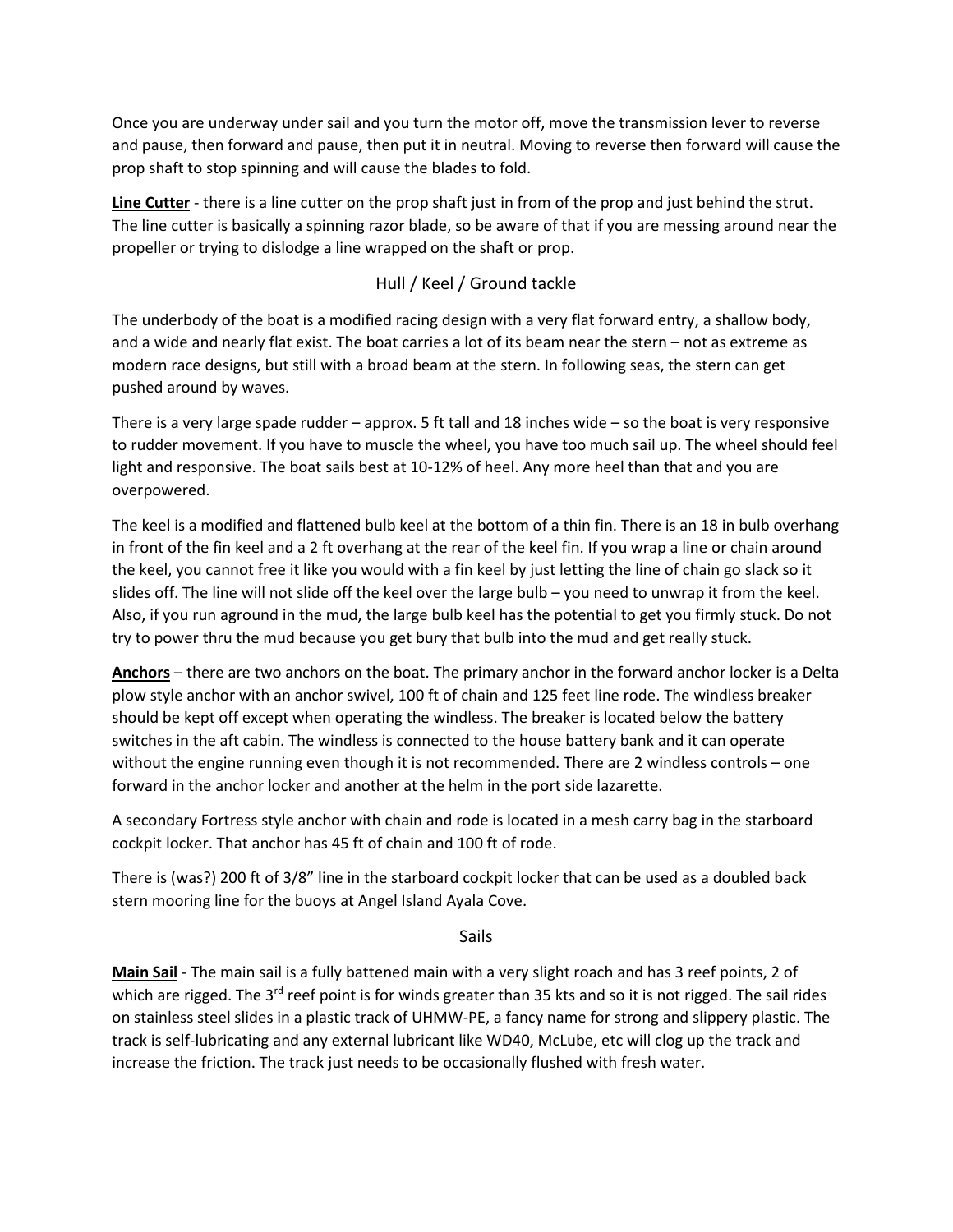Once you are underway under sail and you turn the motor off, move the transmission lever to reverse and pause, then forward and pause, then put it in neutral. Moving to reverse then forward will cause the prop shaft to stop spinning and will cause the blades to fold.

**Line Cutter** - there is a line cutter on the prop shaft just in from of the prop and just behind the strut. The line cutter is basically a spinning razor blade, so be aware of that if you are messing around near the propeller or trying to dislodge a line wrapped on the shaft or prop.

#### Hull / Keel / Ground tackle

The underbody of the boat is a modified racing design with a very flat forward entry, a shallow body, and a wide and nearly flat exist. The boat carries a lot of its beam near the stern – not as extreme as modern race designs, but still with a broad beam at the stern. In following seas, the stern can get pushed around by waves.

There is a very large spade rudder – approx. 5 ft tall and 18 inches wide – so the boat is very responsive to rudder movement. If you have to muscle the wheel, you have too much sail up. The wheel should feel light and responsive. The boat sails best at 10-12% of heel. Any more heel than that and you are overpowered.

The keel is a modified and flattened bulb keel at the bottom of a thin fin. There is an 18 in bulb overhang in front of the fin keel and a 2 ft overhang at the rear of the keel fin. If you wrap a line or chain around the keel, you cannot free it like you would with a fin keel by just letting the line of chain go slack so it slides off. The line will not slide off the keel over the large bulb – you need to unwrap it from the keel. Also, if you run aground in the mud, the large bulb keel has the potential to get you firmly stuck. Do not try to power thru the mud because you get bury that bulb into the mud and get really stuck.

**Anchors** – there are two anchors on the boat. The primary anchor in the forward anchor locker is a Delta plow style anchor with an anchor swivel, 100 ft of chain and 125 feet line rode. The windless breaker should be kept off except when operating the windless. The breaker is located below the battery switches in the aft cabin. The windless is connected to the house battery bank and it can operate without the engine running even though it is not recommended. There are 2 windless controls – one forward in the anchor locker and another at the helm in the port side lazarette.

A secondary Fortress style anchor with chain and rode is located in a mesh carry bag in the starboard cockpit locker. That anchor has 45 ft of chain and 100 ft of rode.

There is (was?) 200 ft of 3/8" line in the starboard cockpit locker that can be used as a doubled back stern mooring line for the buoys at Angel Island Ayala Cove.

Sails

**Main Sail** - The main sail is a fully battened main with a very slight roach and has 3 reef points, 2 of which are rigged. The 3<sup>rd</sup> reef point is for winds greater than 35 kts and so it is not rigged. The sail rides on stainless steel slides in a plastic track of UHMW-PE, a fancy name for strong and slippery plastic. The track is self-lubricating and any external lubricant like WD40, McLube, etc will clog up the track and increase the friction. The track just needs to be occasionally flushed with fresh water.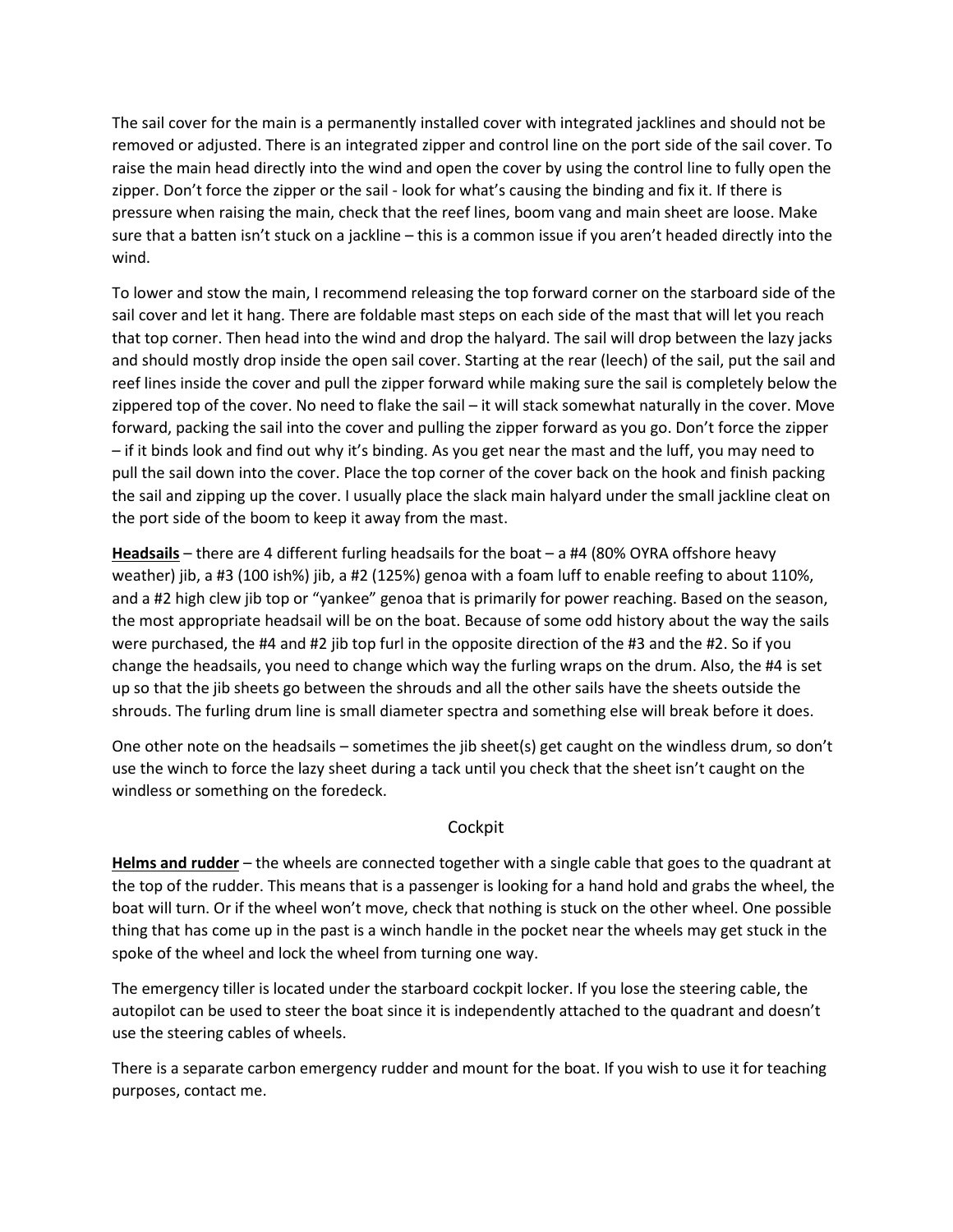The sail cover for the main is a permanently installed cover with integrated jacklines and should not be removed or adjusted. There is an integrated zipper and control line on the port side of the sail cover. To raise the main head directly into the wind and open the cover by using the control line to fully open the zipper. Don't force the zipper or the sail - look for what's causing the binding and fix it. If there is pressure when raising the main, check that the reef lines, boom vang and main sheet are loose. Make sure that a batten isn't stuck on a jackline – this is a common issue if you aren't headed directly into the wind.

To lower and stow the main, I recommend releasing the top forward corner on the starboard side of the sail cover and let it hang. There are foldable mast steps on each side of the mast that will let you reach that top corner. Then head into the wind and drop the halyard. The sail will drop between the lazy jacks and should mostly drop inside the open sail cover. Starting at the rear (leech) of the sail, put the sail and reef lines inside the cover and pull the zipper forward while making sure the sail is completely below the zippered top of the cover. No need to flake the sail – it will stack somewhat naturally in the cover. Move forward, packing the sail into the cover and pulling the zipper forward as you go. Don't force the zipper – if it binds look and find out why it's binding. As you get near the mast and the luff, you may need to pull the sail down into the cover. Place the top corner of the cover back on the hook and finish packing the sail and zipping up the cover. I usually place the slack main halyard under the small jackline cleat on the port side of the boom to keep it away from the mast.

**Headsails** – there are 4 different furling headsails for the boat – a #4 (80% OYRA offshore heavy weather) jib, a #3 (100 ish%) jib, a #2 (125%) genoa with a foam luff to enable reefing to about 110%, and a #2 high clew jib top or "yankee" genoa that is primarily for power reaching. Based on the season, the most appropriate headsail will be on the boat. Because of some odd history about the way the sails were purchased, the #4 and #2 jib top furl in the opposite direction of the #3 and the #2. So if you change the headsails, you need to change which way the furling wraps on the drum. Also, the #4 is set up so that the jib sheets go between the shrouds and all the other sails have the sheets outside the shrouds. The furling drum line is small diameter spectra and something else will break before it does.

One other note on the headsails – sometimes the jib sheet(s) get caught on the windless drum, so don't use the winch to force the lazy sheet during a tack until you check that the sheet isn't caught on the windless or something on the foredeck.

#### **Cockpit**

**Helms and rudder** – the wheels are connected together with a single cable that goes to the quadrant at the top of the rudder. This means that is a passenger is looking for a hand hold and grabs the wheel, the boat will turn. Or if the wheel won't move, check that nothing is stuck on the other wheel. One possible thing that has come up in the past is a winch handle in the pocket near the wheels may get stuck in the spoke of the wheel and lock the wheel from turning one way.

The emergency tiller is located under the starboard cockpit locker. If you lose the steering cable, the autopilot can be used to steer the boat since it is independently attached to the quadrant and doesn't use the steering cables of wheels.

There is a separate carbon emergency rudder and mount for the boat. If you wish to use it for teaching purposes, contact me.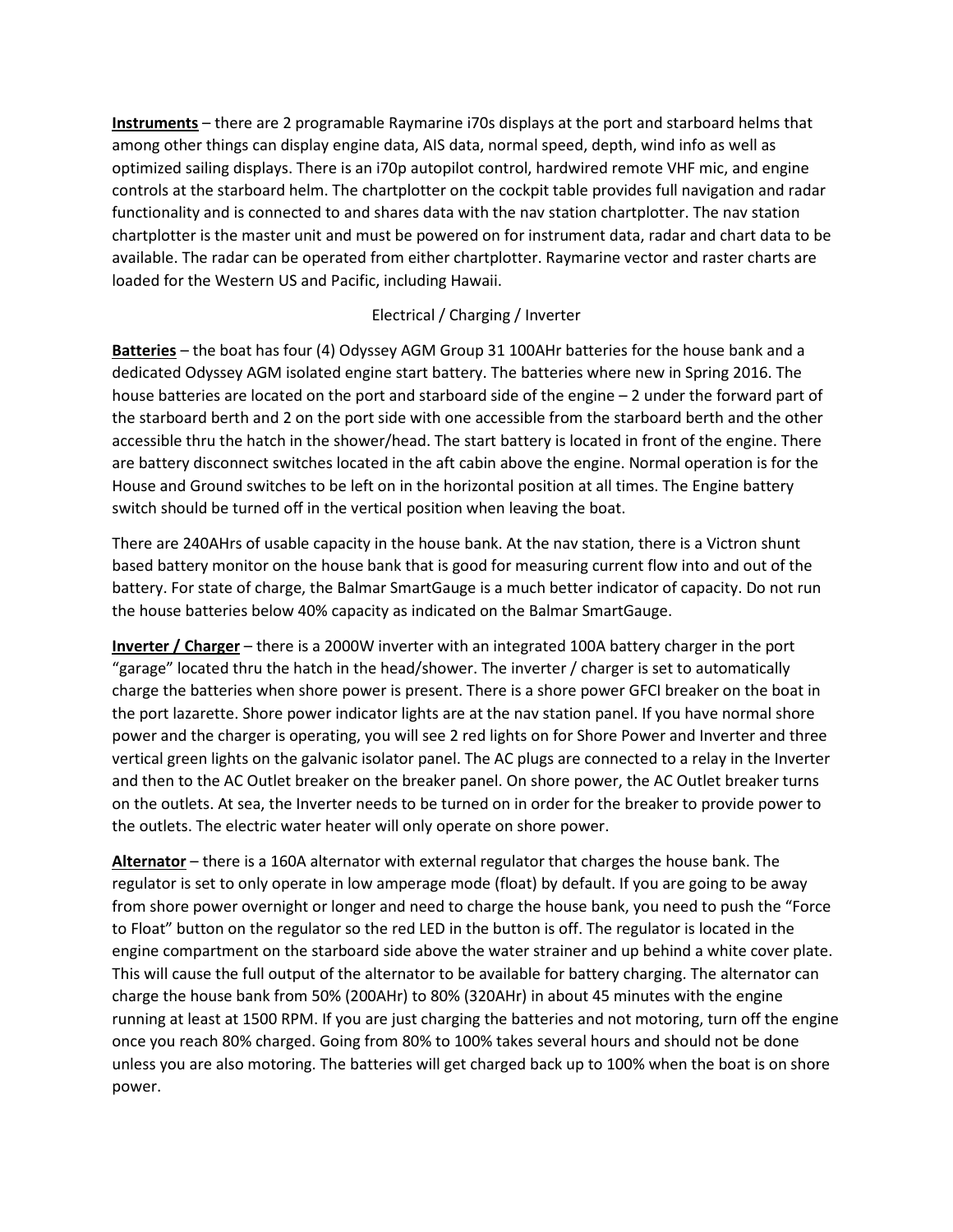**Instruments** – there are 2 programable Raymarine i70s displays at the port and starboard helms that among other things can display engine data, AIS data, normal speed, depth, wind info as well as optimized sailing displays. There is an i70p autopilot control, hardwired remote VHF mic, and engine controls at the starboard helm. The chartplotter on the cockpit table provides full navigation and radar functionality and is connected to and shares data with the nav station chartplotter. The nav station chartplotter is the master unit and must be powered on for instrument data, radar and chart data to be available. The radar can be operated from either chartplotter. Raymarine vector and raster charts are loaded for the Western US and Pacific, including Hawaii.

#### Electrical / Charging / Inverter

**Batteries** – the boat has four (4) Odyssey AGM Group 31 100AHr batteries for the house bank and a dedicated Odyssey AGM isolated engine start battery. The batteries where new in Spring 2016. The house batteries are located on the port and starboard side of the engine – 2 under the forward part of the starboard berth and 2 on the port side with one accessible from the starboard berth and the other accessible thru the hatch in the shower/head. The start battery is located in front of the engine. There are battery disconnect switches located in the aft cabin above the engine. Normal operation is for the House and Ground switches to be left on in the horizontal position at all times. The Engine battery switch should be turned off in the vertical position when leaving the boat.

There are 240AHrs of usable capacity in the house bank. At the nav station, there is a Victron shunt based battery monitor on the house bank that is good for measuring current flow into and out of the battery. For state of charge, the Balmar SmartGauge is a much better indicator of capacity. Do not run the house batteries below 40% capacity as indicated on the Balmar SmartGauge.

**Inverter / Charger** – there is a 2000W inverter with an integrated 100A battery charger in the port "garage" located thru the hatch in the head/shower. The inverter / charger is set to automatically charge the batteries when shore power is present. There is a shore power GFCI breaker on the boat in the port lazarette. Shore power indicator lights are at the nav station panel. If you have normal shore power and the charger is operating, you will see 2 red lights on for Shore Power and Inverter and three vertical green lights on the galvanic isolator panel. The AC plugs are connected to a relay in the Inverter and then to the AC Outlet breaker on the breaker panel. On shore power, the AC Outlet breaker turns on the outlets. At sea, the Inverter needs to be turned on in order for the breaker to provide power to the outlets. The electric water heater will only operate on shore power.

**Alternator** – there is a 160A alternator with external regulator that charges the house bank. The regulator is set to only operate in low amperage mode (float) by default. If you are going to be away from shore power overnight or longer and need to charge the house bank, you need to push the "Force to Float" button on the regulator so the red LED in the button is off. The regulator is located in the engine compartment on the starboard side above the water strainer and up behind a white cover plate. This will cause the full output of the alternator to be available for battery charging. The alternator can charge the house bank from 50% (200AHr) to 80% (320AHr) in about 45 minutes with the engine running at least at 1500 RPM. If you are just charging the batteries and not motoring, turn off the engine once you reach 80% charged. Going from 80% to 100% takes several hours and should not be done unless you are also motoring. The batteries will get charged back up to 100% when the boat is on shore power.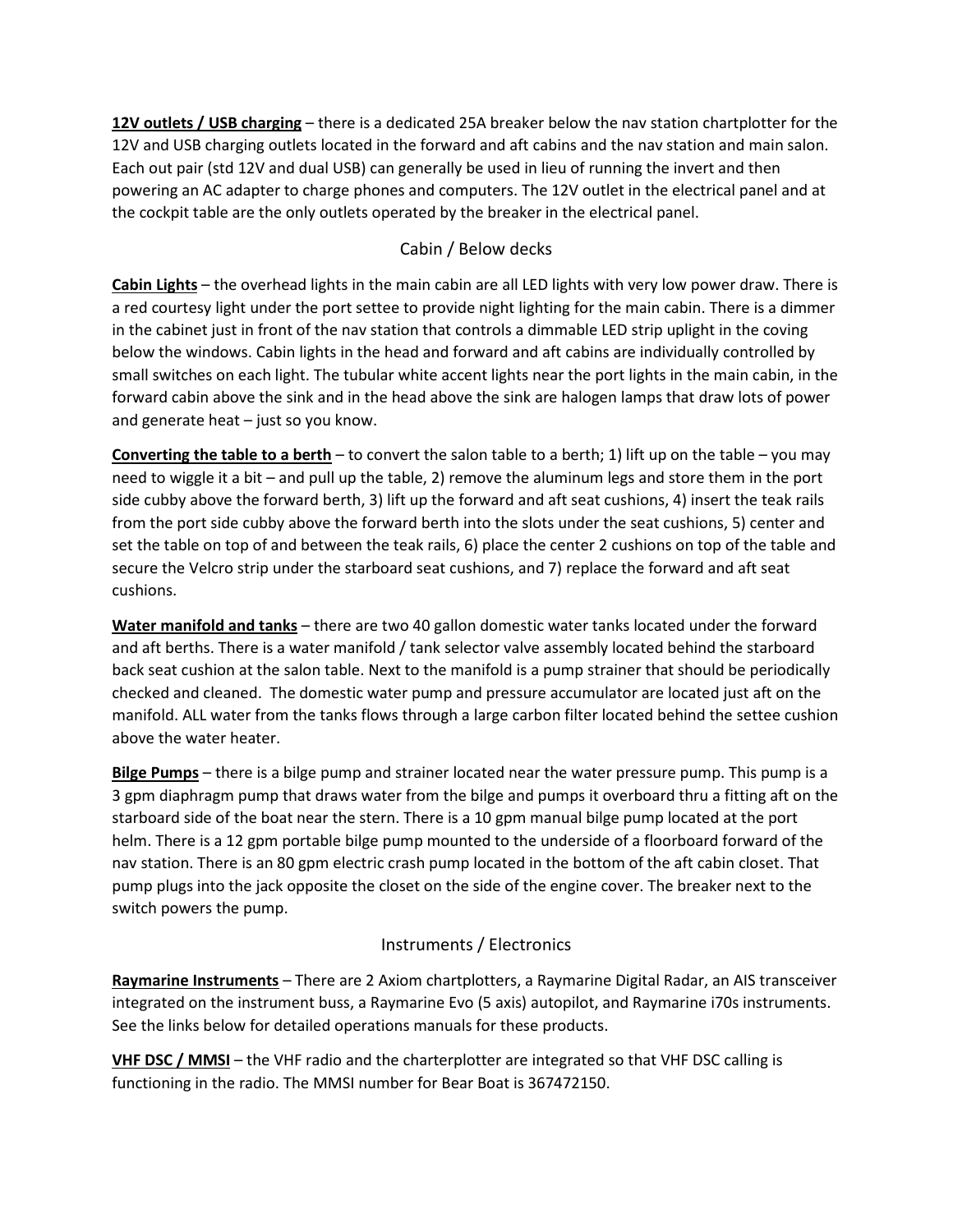**12V outlets / USB charging** – there is a dedicated 25A breaker below the nav station chartplotter for the 12V and USB charging outlets located in the forward and aft cabins and the nav station and main salon. Each out pair (std 12V and dual USB) can generally be used in lieu of running the invert and then powering an AC adapter to charge phones and computers. The 12V outlet in the electrical panel and at the cockpit table are the only outlets operated by the breaker in the electrical panel.

#### Cabin / Below decks

**Cabin Lights** – the overhead lights in the main cabin are all LED lights with very low power draw. There is a red courtesy light under the port settee to provide night lighting for the main cabin. There is a dimmer in the cabinet just in front of the nav station that controls a dimmable LED strip uplight in the coving below the windows. Cabin lights in the head and forward and aft cabins are individually controlled by small switches on each light. The tubular white accent lights near the port lights in the main cabin, in the forward cabin above the sink and in the head above the sink are halogen lamps that draw lots of power and generate heat – just so you know.

**Converting the table to a berth** – to convert the salon table to a berth; 1) lift up on the table – you may need to wiggle it a bit – and pull up the table, 2) remove the aluminum legs and store them in the port side cubby above the forward berth, 3) lift up the forward and aft seat cushions, 4) insert the teak rails from the port side cubby above the forward berth into the slots under the seat cushions, 5) center and set the table on top of and between the teak rails, 6) place the center 2 cushions on top of the table and secure the Velcro strip under the starboard seat cushions, and 7) replace the forward and aft seat cushions.

**Water manifold and tanks** – there are two 40 gallon domestic water tanks located under the forward and aft berths. There is a water manifold / tank selector valve assembly located behind the starboard back seat cushion at the salon table. Next to the manifold is a pump strainer that should be periodically checked and cleaned. The domestic water pump and pressure accumulator are located just aft on the manifold. ALL water from the tanks flows through a large carbon filter located behind the settee cushion above the water heater.

**Bilge Pumps** – there is a bilge pump and strainer located near the water pressure pump. This pump is a 3 gpm diaphragm pump that draws water from the bilge and pumps it overboard thru a fitting aft on the starboard side of the boat near the stern. There is a 10 gpm manual bilge pump located at the port helm. There is a 12 gpm portable bilge pump mounted to the underside of a floorboard forward of the nav station. There is an 80 gpm electric crash pump located in the bottom of the aft cabin closet. That pump plugs into the jack opposite the closet on the side of the engine cover. The breaker next to the switch powers the pump.

#### Instruments / Electronics

**Raymarine Instruments** – There are 2 Axiom chartplotters, a Raymarine Digital Radar, an AIS transceiver integrated on the instrument buss, a Raymarine Evo (5 axis) autopilot, and Raymarine i70s instruments. See the links below for detailed operations manuals for these products.

**VHF DSC / MMSI** – the VHF radio and the charterplotter are integrated so that VHF DSC calling is functioning in the radio. The MMSI number for Bear Boat is 367472150.